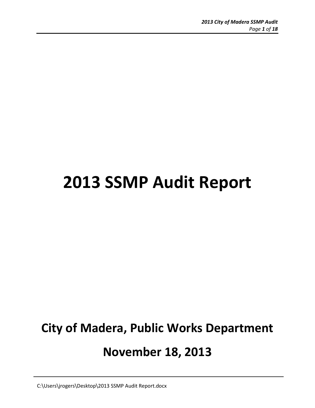# **2013 SSMP Audit Report**

# **City of Madera, Public Works Department November 18, 2013**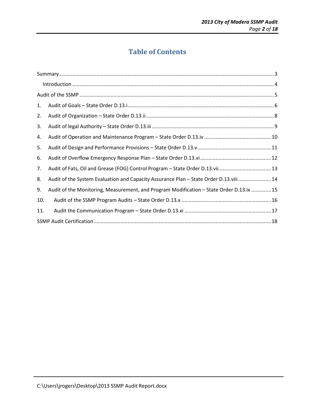# **Table of Contents**

| 1.  |                                                                                          |
|-----|------------------------------------------------------------------------------------------|
| 2.  |                                                                                          |
| 3.  |                                                                                          |
| 4.  |                                                                                          |
| 5.  |                                                                                          |
| 6.  |                                                                                          |
| 7.  |                                                                                          |
| 8.  | Audit of the System Evaluation and Capacity Assurance Plan - State Order D.13.viii  14   |
| 9.  | Audit of the Monitoring, Measurement, and Program Modification - State Order D.13.ix  15 |
| 10. |                                                                                          |
| 11. |                                                                                          |
|     |                                                                                          |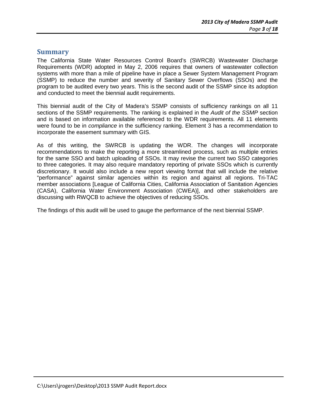### **Summary**

The California State Water Resources Control Board's (SWRCB) Wastewater Discharge Requirements (WDR) adopted in May 2, 2006 requires that owners of wastewater collection systems with more than a mile of pipeline have in place a Sewer System Management Program (SSMP) to reduce the number and severity of Sanitary Sewer Overflows (SSOs) and the program to be audited every two years. This is the second audit of the SSMP since its adoption and conducted to meet the biennial audit requirements.

This biennial audit of the City of Madera's SSMP consists of sufficiency rankings on all 11 sections of the SSMP requirements. The ranking is explained in the Audit of the SSMP section and is based on information available referenced to the WDR requirements. All 11 elements were found to be in *compliance* in the sufficiency ranking. Element 3 has a recommendation to incorporate the easement summary with GIS.

As of this writing, the SWRCB is updating the WDR. The changes will incorporate recommendations to make the reporting a more streamlined process, such as multiple entries for the same SSO and batch uploading of SSOs. It may revise the current two SSO categories to three categories. It may also require mandatory reporting of private SSOs which is currently discretionary. It would also include a new report viewing format that will include the relative "performance" against similar agencies within its region and against all regions. Tri-TAC member associations [League of California Cities, California Association of Sanitation Agencies (CASA), California Water Environment Association (CWEA)], and other stakeholders are discussing with RWQCB to achieve the objectives of reducing SSOs.

The findings of this audit will be used to gauge the performance of the next biennial SSMP.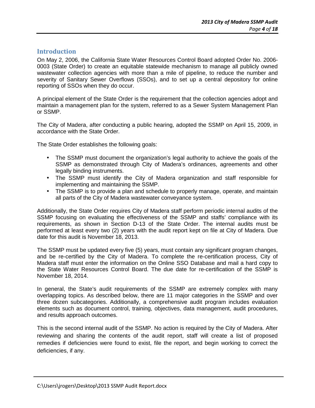#### **Introduction**

On May 2, 2006, the California State Water Resources Control Board adopted Order No. 2006- 0003 (State Order) to create an equitable statewide mechanism to manage all publicly owned wastewater collection agencies with more than a mile of pipeline, to reduce the number and severity of Sanitary Sewer Overflows (SSOs), and to set up a central depository for online reporting of SSOs when they do occur.

A principal element of the State Order is the requirement that the collection agencies adopt and maintain a management plan for the system, referred to as a Sewer System Management Plan or SSMP.

The City of Madera, after conducting a public hearing, adopted the SSMP on April 15, 2009, in accordance with the State Order.

The State Order establishes the following goals:

- The SSMP must document the organization's legal authority to achieve the goals of the SSMP as demonstrated through City of Madera's ordinances, agreements and other legally binding instruments.
- The SSMP must identify the City of Madera organization and staff responsible for implementing and maintaining the SSMP.
- The SSMP is to provide a plan and schedule to properly manage, operate, and maintain all parts of the City of Madera wastewater conveyance system.

Additionally, the State Order requires City of Madera staff perform periodic internal audits of the SSMP focusing on evaluating the effectiveness of the SSMP and staffs' compliance with its requirements, as shown in Section D-13 of the State Order. The internal audits must be performed at least every two (2) years with the audit report kept on file at City of Madera. Due date for this audit is November 18, 2013.

The SSMP must be updated every five (5) years, must contain any significant program changes, and be re-certified by the City of Madera. To complete the re-certification process, City of Madera staff must enter the information on the Online SSO Database and mail a hard copy to the State Water Resources Control Board. The due date for re-certification of the SSMP is November 18, 2014.

In general, the State's audit requirements of the SSMP are extremely complex with many overlapping topics. As described below, there are 11 major categories in the SSMP and over three dozen subcategories. Additionally, a comprehensive audit program includes evaluation elements such as document control, training, objectives, data management, audit procedures, and results approach outcomes.

This is the second internal audit of the SSMP. No action is required by the City of Madera. After reviewing and sharing the contents of the audit report, staff will create a list of proposed remedies if deficiencies were found to exist, file the report, and begin working to correct the deficiencies, if any.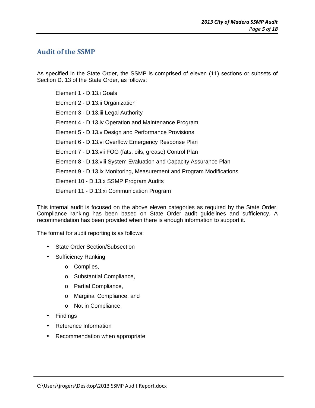## **Audit of the SSMP**

As specified in the State Order, the SSMP is comprised of eleven (11) sections or subsets of Section D. 13 of the State Order, as follows:

Element 1 - D.13.i Goals Element 2 - D.13.ii Organization Element 3 - D.13.iii Legal Authority Element 4 - D.13.iv Operation and Maintenance Program Element 5 - D.13.v Design and Performance Provisions Element 6 - D.13.vi Overflow Emergency Response Plan Element 7 - D.13.vii FOG (fats, oils, grease) Control Plan Element 8 - D.13.viii System Evaluation and Capacity Assurance Plan Element 9 - D.13.ix Monitoring, Measurement and Program Modifications Element 10 - D.13.x SSMP Program Audits Element 11 - D.13.xi Communication Program

This internal audit is focused on the above eleven categories as required by the State Order. Compliance ranking has been based on State Order audit guidelines and sufficiency. A recommendation has been provided when there is enough information to support it.

The format for audit reporting is as follows:

- State Order Section/Subsection
- Sufficiency Ranking
	- o Complies,
	- o Substantial Compliance,
	- o Partial Compliance,
	- o Marginal Compliance, and
	- o Not in Compliance
- Findings
- Reference Information
- Recommendation when appropriate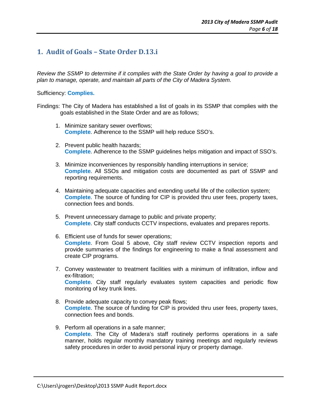## **1. Audit of Goals – State Order D.13.i**

Review the SSMP to determine if it complies with the State Order by having a goal to provide a plan to manage, operate, and maintain all parts of the City of Madera System.

#### Sufficiency: **Complies.**

Findings: The City of Madera has established a list of goals in its SSMP that complies with the goals established in the State Order and are as follows;

- 1. Minimize sanitary sewer overflows; **Complete**. Adherence to the SSMP will help reduce SSO's.
- 2. Prevent public health hazards; **Complete**. Adherence to the SSMP guidelines helps mitigation and impact of SSO's.
- 3. Minimize inconveniences by responsibly handling interruptions in service; **Complete**. All SSOs and mitigation costs are documented as part of SSMP and reporting requirements.
- 4. Maintaining adequate capacities and extending useful life of the collection system; **Complete**. The source of funding for CIP is provided thru user fees, property taxes, connection fees and bonds.
- 5. Prevent unnecessary damage to public and private property; **Complete**. City staff conducts CCTV inspections, evaluates and prepares reports.
- 6. Efficient use of funds for sewer operations; **Complete**. From Goal 5 above, City staff review CCTV inspection reports and provide summaries of the findings for engineering to make a final assessment and create CIP programs.
- 7. Convey wastewater to treatment facilities with a minimum of infiltration, inflow and ex-filtration; **Complete**. City staff regularly evaluates system capacities and periodic flow monitoring of key trunk lines.
- 8. Provide adequate capacity to convey peak flows; **Complete**. The source of funding for CIP is provided thru user fees, property taxes, connection fees and bonds.
- 9. Perform all operations in a safe manner; **Complete**. The City of Madera's staff routinely performs operations in a safe manner, holds regular monthly mandatory training meetings and regularly reviews safety procedures in order to avoid personal injury or property damage.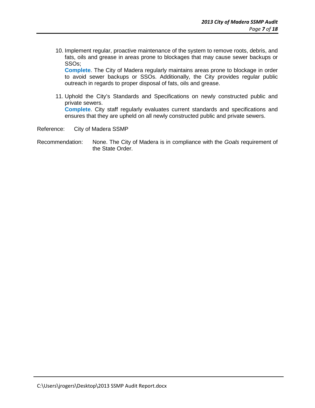10. Implement regular, proactive maintenance of the system to remove roots, debris, and fats, oils and grease in areas prone to blockages that may cause sewer backups or SSOs;

**Complete**. The City of Madera regularly maintains areas prone to blockage in order to avoid sewer backups or SSOs. Additionally, the City provides regular public outreach in regards to proper disposal of fats, oils and grease.

11. Uphold the City's Standards and Specifications on newly constructed public and private sewers. **Complete**. City staff regularly evaluates current standards and specifications and ensures that they are upheld on all newly constructed public and private sewers.

Reference: City of Madera SSMP

Recommendation: None. The City of Madera is in compliance with the Goals requirement of the State Order.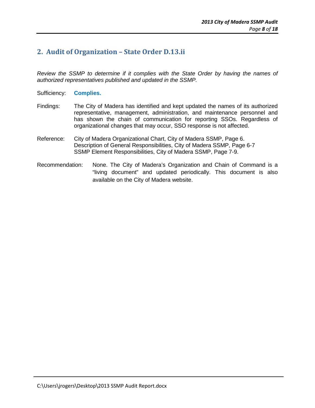## **2. Audit of Organization – State Order D.13.ii**

Review the SSMP to determine if it complies with the State Order by having the names of authorized representatives published and updated in the SSMP.

- Sufficiency: **Complies.**
- Findings: The City of Madera has identified and kept updated the names of its authorized representative, management, administration, and maintenance personnel and has shown the chain of communication for reporting SSOs. Regardless of organizational changes that may occur, SSO response is not affected.
- Reference: City of Madera Organizational Chart, City of Madera SSMP, Page 6. Description of General Responsibilities, City of Madera SSMP, Page 6-7 SSMP Element Responsibilities, City of Madera SSMP, Page 7-9.
- Recommendation: None. The City of Madera's Organization and Chain of Command is a "living document" and updated periodically. This document is also available on the City of Madera website.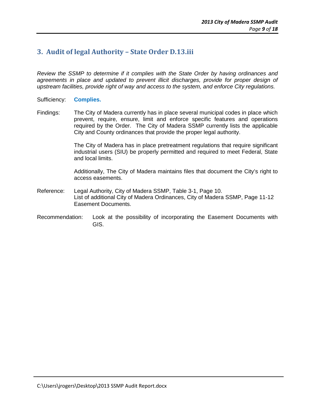## **3. Audit of legal Authority – State Order D.13.iii**

Review the SSMP to determine if it complies with the State Order by having ordinances and agreements in place and updated to prevent illicit discharges, provide for proper design of upstream facilities, provide right of way and access to the system, and enforce City regulations.

- Sufficiency: **Complies.**
- Findings: The City of Madera currently has in place several municipal codes in place which prevent, require, ensure, limit and enforce specific features and operations required by the Order. The City of Madera SSMP currently lists the applicable City and County ordinances that provide the proper legal authority.

The City of Madera has in place pretreatment regulations that require significant industrial users (SIU) be properly permitted and required to meet Federal, State and local limits.

Additionally, The City of Madera maintains files that document the City's right to access easements.

- Reference: Legal Authority, City of Madera SSMP, Table 3-1, Page 10. List of additional City of Madera Ordinances, City of Madera SSMP, Page 11-12 Easement Documents.
- Recommendation: Look at the possibility of incorporating the Easement Documents with GIS.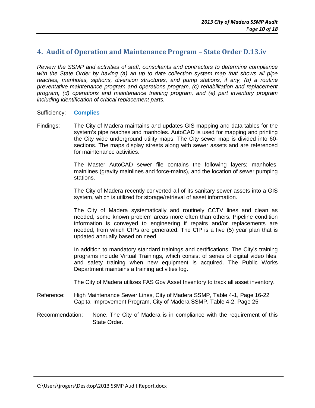## **4. Audit of Operation and Maintenance Program – State Order D.13.iv**

Review the SSMP and activities of staff, consultants and contractors to determine compliance with the State Order by having (a) an up to date collection system map that shows all pipe reaches, manholes, siphons, diversion structures, and pump stations, if any, (b) a routine preventative maintenance program and operations program, (c) rehabilitation and replacement program, (d) operations and maintenance training program, and (e) part inventory program including identification of critical replacement parts.

#### Sufficiency: **Complies**

Findings: The City of Madera maintains and updates GIS mapping and data tables for the system's pipe reaches and manholes. AutoCAD is used for mapping and printing the City wide underground utility maps. The City sewer map is divided into 60 sections. The maps display streets along with sewer assets and are referenced for maintenance activities.

> The Master AutoCAD sewer file contains the following layers; manholes, mainlines (gravity mainlines and force-mains), and the location of sewer pumping stations.

> The City of Madera recently converted all of its sanitary sewer assets into a GIS system, which is utilized for storage/retrieval of asset information.

> The City of Madera systematically and routinely CCTV lines and clean as needed, some known problem areas more often than others. Pipeline condition information is conveyed to engineering if repairs and/or replacements are needed, from which CIPs are generated. The CIP is a five (5) year plan that is updated annually based on need.

> In addition to mandatory standard trainings and certifications, The City's training programs include Virtual Trainings, which consist of series of digital video files, and safety training when new equipment is acquired. The Public Works Department maintains a training activities log.

The City of Madera utilizes FAS Gov Asset Inventory to track all asset inventory.

- Reference: High Maintenance Sewer Lines, City of Madera SSMP, Table 4-1, Page 16-22 Capital Improvement Program, City of Madera SSMP, Table 4-2, Page 25
- Recommendation: None. The City of Madera is in compliance with the requirement of this State Order.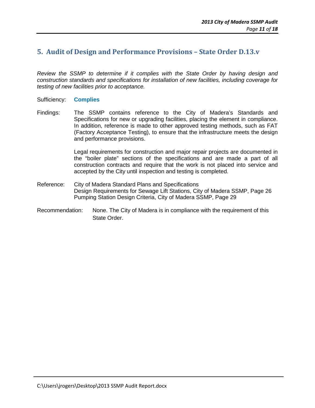## **5. Audit of Design and Performance Provisions – State Order D.13.v**

Review the SSMP to determine if it complies with the State Order by having design and construction standards and specifications for installation of new facilities, including coverage for testing of new facilities prior to acceptance.

#### Sufficiency: **Complies**

Findings: The SSMP contains reference to the City of Madera's Standards and Specifications for new or upgrading facilities, placing the element in compliance. In addition, reference is made to other approved testing methods, such as FAT (Factory Acceptance Testing), to ensure that the infrastructure meets the design and performance provisions.

> Legal requirements for construction and major repair projects are documented in the "boiler plate" sections of the specifications and are made a part of all construction contracts and require that the work is not placed into service and accepted by the City until inspection and testing is completed.

- Reference: City of Madera Standard Plans and Specifications Design Requirements for Sewage Lift Stations, City of Madera SSMP, Page 26 Pumping Station Design Criteria, City of Madera SSMP, Page 29
- Recommendation: None. The City of Madera is in compliance with the requirement of this State Order.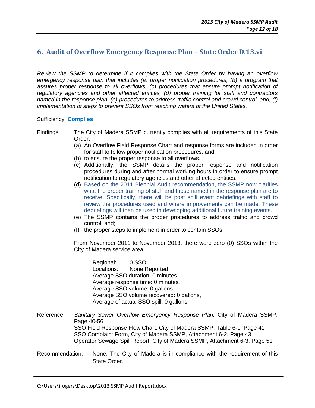## **6. Audit of Overflow Emergency Response Plan – State Order D.13.vi**

Review the SSMP to determine if it complies with the State Order by having an overflow emergency response plan that includes (a) proper notification procedures, (b) a program that assures proper response to all overflows, (c) procedures that ensure prompt notification of regulatory agencies and other affected entities, (d) proper training for staff and contractors named in the response plan, (e) procedures to address traffic control and crowd control, and, (f) implementation of steps to prevent SSOs from reaching waters of the United States.

#### Sufficiency: **Complies**

Findings: The City of Madera SSMP currently complies with all requirements of this State Order.

- (a) An Overflow Field Response Chart and response forms are included in order for staff to follow proper notification procedures, and;
- (b) to ensure the proper response to all overflows.
- (c) Additionally, the SSMP details the proper response and notification procedures during and after normal working hours in order to ensure prompt notification to regulatory agencies and other affected entities.
- (d) Based on the 2011 Biennial Audit recommendation, the SSMP now clarifies what the proper training of staff and those named in the response plan are to receive. Specifically, there will be post spill event debriefings with staff to review the procedures used and where improvements can be made. These debriefings will then be used in developing additional future training events.
- (e) The SSMP contains the proper procedures to address traffic and crowd control, and;
- (f) the proper steps to implement in order to contain SSOs.

From November 2011 to November 2013, there were zero (0) SSOs within the City of Madera service area:

Regional: 0 SSO Locations: None Reported Average SSO duration: 0 minutes, Average response time: 0 minutes, Average SSO volume: 0 gallons, Average SSO volume recovered: 0 gallons, Average of actual SSO spill: 0 gallons,

- Reference: Sanitary Sewer Overflow Emergency Response Plan, City of Madera SSMP, Page 40-56 SSO Field Response Flow Chart, City of Madera SSMP, Table 6-1, Page 41 SSO Complaint Form, City of Madera SSMP, Attachment 6-2, Page 43 Operator Sewage Spill Report, City of Madera SSMP, Attachment 6-3, Page 51
- Recommendation: None. The City of Madera is in compliance with the requirement of this State Order.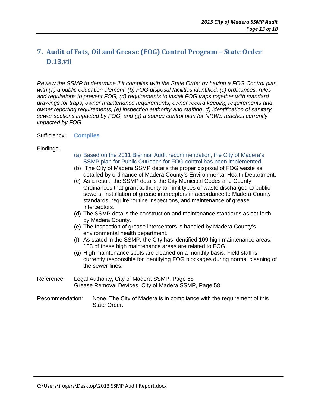# **7. Audit of Fats, Oil and Grease (FOG) Control Program – State Order D.13.vii**

Review the SSMP to determine if it complies with the State Order by having a FOG Control plan with (a) a public education element, (b) FOG disposal facilities identified, (c) ordinances, rules and regulations to prevent FOG, (d) requirements to install FOG traps together with standard drawings for traps, owner maintenance requirements, owner record keeping requirements and owner reporting requirements, (e) inspection authority and staffing, (f) identification of sanitary sewer sections impacted by FOG, and (g) a source control plan for NRWS reaches currently impacted by FOG.

Sufficiency: **Complies**.

#### Findings:

- (a) Based on the 2011 Biennial Audit recommendation, the City of Madera's SSMP plan for Public Outreach for FOG control has been implemented.
- (b) The City of Madera SSMP details the proper disposal of FOG waste as detailed by ordinance of Madera County's Environmental Health Department.
- (c) As a result, the SSMP details the City Municipal Codes and County Ordinances that grant authority to; limit types of waste discharged to public sewers, installation of grease interceptors in accordance to Madera County standards, require routine inspections, and maintenance of grease interceptors.
- (d) The SSMP details the construction and maintenance standards as set forth by Madera County.
- (e) The Inspection of grease interceptors is handled by Madera County's environmental health department.
- (f) As stated in the SSMP, the City has identified 109 high maintenance areas; 103 of these high maintenance areas are related to FOG.
- (g) High maintenance spots are cleaned on a monthly basis. Field staff is currently responsible for identifying FOG blockages during normal cleaning of the sewer lines.
- Reference: Legal Authority, City of Madera SSMP, Page 58 Grease Removal Devices, City of Madera SSMP, Page 58
- Recommendation: None. The City of Madera is in compliance with the requirement of this State Order.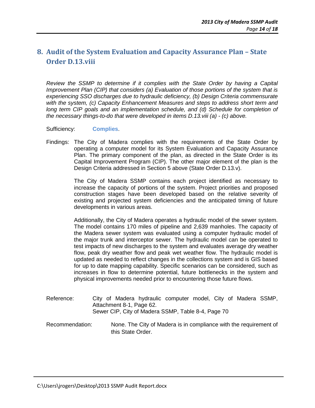## **8. Audit of the System Evaluation and Capacity Assurance Plan – State Order D.13.viii**

Review the SSMP to determine if it complies with the State Order by having a Capital Improvement Plan (CIP) that considers (a) Evaluation of those portions of the system that is experiencing SSO discharges due to hydraulic deficiency, (b) Design Criteria commensurate with the system, (c) Capacity Enhancement Measures and steps to address short term and long term CIP goals and an implementation schedule, and (d) Schedule for completion of the necessary things-to-do that were developed in items D.13.viii (a) - (c) above.

Sufficiency: **Complies**.

Findings: The City of Madera complies with the requirements of the State Order by operating a computer model for its System Evaluation and Capacity Assurance Plan. The primary component of the plan, as directed in the State Order is its Capital Improvement Program (CIP). The other major element of the plan is the Design Criteria addressed in Section 5 above (State Order D.13.v).

> The City of Madera SSMP contains each project identified as necessary to increase the capacity of portions of the system. Project priorities and proposed construction stages have been developed based on the relative severity of existing and projected system deficiencies and the anticipated timing of future developments in various areas.

> Additionally, the City of Madera operates a hydraulic model of the sewer system. The model contains 170 miles of pipeline and 2,639 manholes. The capacity of the Madera sewer system was evaluated using a computer hydraulic model of the major trunk and interceptor sewer. The hydraulic model can be operated to test impacts of new discharges to the system and evaluates average dry weather flow, peak dry weather flow and peak wet weather flow. The hydraulic model is updated as needed to reflect changes in the collections system and is GIS based for up to date mapping capability. Specific scenarios can be considered, such as increases in flow to determine potential, future bottlenecks in the system and physical improvements needed prior to encountering those future flows.

- Reference: City of Madera hydraulic computer model, City of Madera SSMP, Attachment 8-1, Page 62. Sewer CIP, City of Madera SSMP, Table 8-4, Page 70
- Recommendation: None. The City of Madera is in compliance with the requirement of this State Order.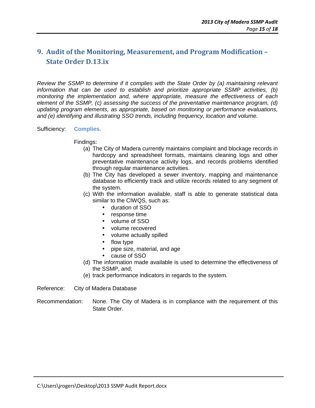## **9. Audit of the Monitoring, Measurement, and Program Modification – State Order D.13.ix**

Review the SSMP to determine if it complies with the State Order by (a) maintaining relevant information that can be used to establish and prioritize appropriate SSMP activities, (b) monitoring the implementation and, where appropriate, measure the effectiveness of each element of the SSMP, (c) assessing the success of the preventative maintenance program, (d) updating program elements, as appropriate, based on monitoring or performance evaluations, and (e) identifying and illustrating SSO trends, including frequency, location and volume.

#### Sufficiency: **Complies.**

#### Findings:

- (a) The City of Madera currently maintains complaint and blockage records in hardcopy and spreadsheet formats, maintains cleaning logs and other preventative maintenance activity logs, and records problems identified through regular maintenance activities.
- (b) The City has developed a sewer inventory, mapping and maintenance database to efficiently track and utilize records related to any segment of the system.
- (c) With the information available, staff is able to generate statistical data similar to the CIWQS, such as:
	- duration of SSO
	- response time
	- volume of SSO
	- volume recovered
	- volume actually spilled
	- flow type
	- pipe size, material, and age
	- cause of SSO
- (d) The information made available is used to determine the effectiveness of the SSMP, and;
- (e) track performance indicators in regards to the system.
- Reference: City of Madera Database

Recommendation: None. The City of Madera is in compliance with the requirement of this State Order.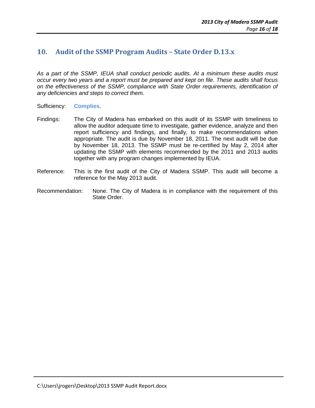## **10. Audit of the SSMP Program Audits – State Order D.13.x**

As a part of the SSMP, IEUA shall conduct periodic audits. At a minimum these audits must occur every two years and a report must be prepared and kept on file. These audits shall focus on the effectiveness of the SSMP, compliance with State Order requirements, identification of any deficiencies and steps to correct them.

- Sufficiency: **Complies.**
- Findings: The City of Madera has embarked on this audit of its SSMP with timeliness to allow the auditor adequate time to investigate, gather evidence, analyze and then report sufficiency and findings, and finally, to make recommendations when appropriate. The audit is due by November 18, 2011. The next audit will be due by November 18, 2013. The SSMP must be re-certified by May 2, 2014 after updating the SSMP with elements recommended by the 2011 and 2013 audits together with any program changes implemented by IEUA.
- Reference: This is the first audit of the City of Madera SSMP. This audit will become a reference for the May 2013 audit.
- Recommendation: None. The City of Madera is in compliance with the requirement of this State Order.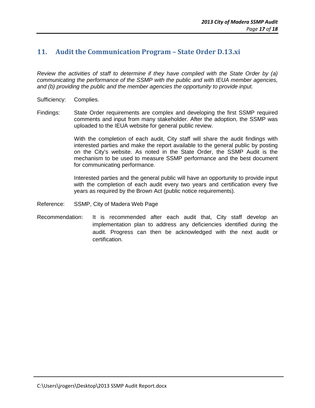## **11. Audit the Communication Program – State Order D.13.xi**

Review the activities of staff to determine if they have complied with the State Order by (a) communicating the performance of the SSMP with the public and with IEUA member agencies, and (b) providing the public and the member agencies the opportunity to provide input.

- Sufficiency: Complies.
- Findings: State Order requirements are complex and developing the first SSMP required comments and input from many stakeholder. After the adoption, the SSMP was uploaded to the IEUA website for general public review.

With the completion of each audit, City staff will share the audit findings with interested parties and make the report available to the general public by posting on the City's website. As noted in the State Order, the SSMP Audit is the mechanism to be used to measure SSMP performance and the best document for communicating performance.

Interested parties and the general public will have an opportunity to provide input with the completion of each audit every two years and certification every five years as required by the Brown Act (public notice requirements).

- Reference: SSMP, City of Madera Web Page
- Recommendation: It is recommended after each audit that, City staff develop an implementation plan to address any deficiencies identified during the audit. Progress can then be acknowledged with the next audit or certification.